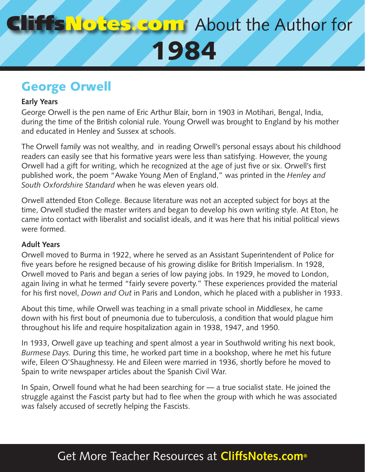## About the Author for 1984

## George Orwell

#### **Early Years**

George Orwell is the pen name of Eric Arthur Blair, born in 1903 in Motihari, Bengal, India, during the time of the British colonial rule. Young Orwell was brought to England by his mother and educated in Henley and Sussex at schools.

The Orwell family was not wealthy, and in reading Orwell's personal essays about his childhood readers can easily see that his formative years were less than satisfying. However, the young Orwell had a gift for writing, which he recognized at the age of just five or six. Orwell's first published work, the poem "Awake Young Men of England," was printed in the *Henley and South Oxfordshire Standard* when he was eleven years old.

Orwell attended Eton College. Because literature was not an accepted subject for boys at the time, Orwell studied the master writers and began to develop his own writing style. At Eton, he came into contact with liberalist and socialist ideals, and it was here that his initial political views were formed.

#### **Adult Years**

Orwell moved to Burma in 1922, where he served as an Assistant Superintendent of Police for five years before he resigned because of his growing dislike for British Imperialism. In 1928, Orwell moved to Paris and began a series of low paying jobs. In 1929, he moved to London, again living in what he termed "fairly severe poverty." These experiences provided the material for his first novel, *Down and Out* in Paris and London, which he placed with a publisher in 1933.

About this time, while Orwell was teaching in a small private school in Middlesex, he came down with his first bout of pneumonia due to tuberculosis, a condition that would plague him throughout his life and require hospitalization again in 1938, 1947, and 1950.

In 1933, Orwell gave up teaching and spent almost a year in Southwold writing his next book, *Burmese Days.* During this time, he worked part time in a bookshop, where he met his future wife, Eileen O'Shaughnessy. He and Eileen were married in 1936, shortly before he moved to Spain to write newspaper articles about the Spanish Civil War.

In Spain, Orwell found what he had been searching for — a true socialist state. He joined the struggle against the Fascist party but had to flee when the group with which he was associated was falsely accused of secretly helping the Fascists.

## Get More Teacher Resources at **CliffsNotes.com®**